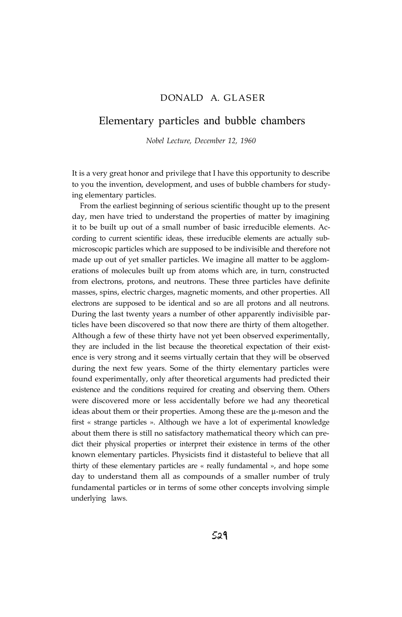## DONALD A. GLASER

## Elementary particles and bubble chambers

*Nobel Lecture, December 12, 1960*

It is a very great honor and privilege that I have this opportunity to describe to you the invention, development, and uses of bubble chambers for studying elementary particles.

From the earliest beginning of serious scientific thought up to the present day, men have tried to understand the properties of matter by imagining it to be built up out of a small number of basic irreducible elements. According to current scientific ideas, these irreducible elements are actually submicroscopic particles which are supposed to be indivisible and therefore not made up out of yet smaller particles. We imagine all matter to be agglomerations of molecules built up from atoms which are, in turn, constructed from electrons, protons, and neutrons. These three particles have definite masses, spins, electric charges, magnetic moments, and other properties. All electrons are supposed to be identical and so are all protons and all neutrons. During the last twenty years a number of other apparently indivisible particles have been discovered so that now there are thirty of them altogether. Although a few of these thirty have not yet been observed experimentally, they are included in the list because the theoretical expectation of their existence is very strong and it seems virtually certain that they will be observed during the next few years. Some of the thirty elementary particles were found experimentally, only after theoretical arguments had predicted their existence and the conditions required for creating and observing them. Others were discovered more or less accidentally before we had any theoretical ideas about them or their properties. Among these are the -meson and the first « strange particles ». Although we have a lot of experimental knowledge about them there is still no satisfactory mathematical theory which can predict their physical properties or interpret their existence in terms of the other known elementary particles. Physicists find it distasteful to believe that all thirty of these elementary particles are « really fundamental », and hope some day to understand them all as compounds of a smaller number of truly fundamental particles or in terms of some other concepts involving simple underlying laws.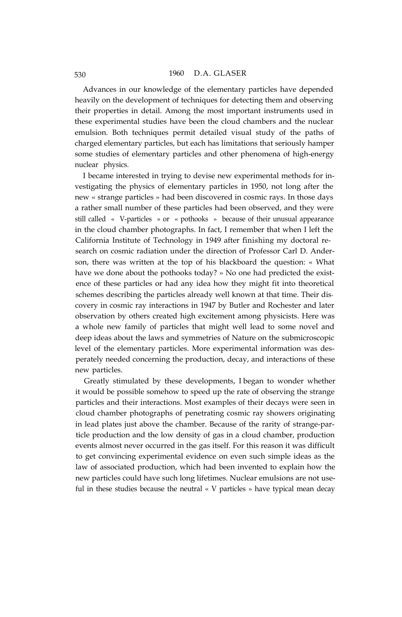Advances in our knowledge of the elementary particles have depended heavily on the development of techniques for detecting them and observing their properties in detail. Among the most important instruments used in these experimental studies have been the cloud chambers and the nuclear emulsion. Both techniques permit detailed visual study of the paths of charged elementary particles, but each has limitations that seriously hamper some studies of elementary particles and other phenomena of high-energy nuclear physics.

I became interested in trying to devise new experimental methods for investigating the physics of elementary particles in 1950, not long after the new « strange particles » had been discovered in cosmic rays. In those days a rather small number of these particles had been observed, and they were still called « V-particles » or « pothooks » because of their unusual appearance in the cloud chamber photographs. In fact, I remember that when I left the California Institute of Technology in 1949 after finishing my doctoral research on cosmic radiation under the direction of Professor Carl D. Anderson, there was written at the top of his blackboard the question: « What have we done about the pothooks today? » No one had predicted the existence of these particles or had any idea how they might fit into theoretical schemes describing the particles already well known at that time. Their discovery in cosmic ray interactions in 1947 by Butler and Rochester and later observation by others created high excitement among physicists. Here was a whole new family of particles that might well lead to some novel and deep ideas about the laws and symmetries of Nature on the submicroscopic level of the elementary particles. More experimental information was desperately needed concerning the production, decay, and interactions of these new particles.

Greatly stimulated by these developments, I began to wonder whether it would be possible somehow to speed up the rate of observing the strange particles and their interactions. Most examples of their decays were seen in cloud chamber photographs of penetrating cosmic ray showers originating in lead plates just above the chamber. Because of the rarity of strange-particle production and the low density of gas in a cloud chamber, production events almost never occurred in the gas itself. For this reason it was difficult to get convincing experimental evidence on even such simple ideas as the law of associated production, which had been invented to explain how the new particles could have such long lifetimes. Nuclear emulsions are not useful in these studies because the neutral « V particles » have typical mean decay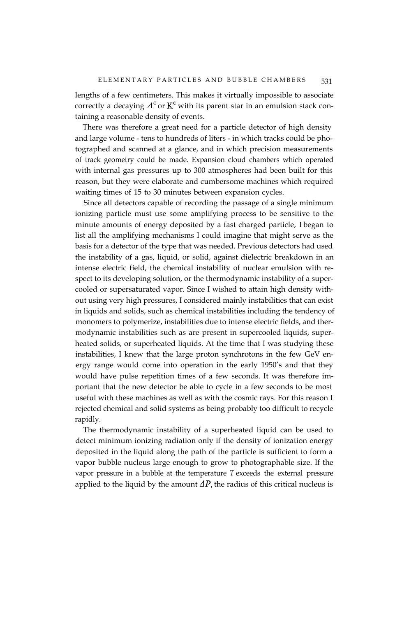lengths of a few centimeters. This makes it virtually impossible to associate correctly a decaying  $\Lambda^{\circ}$  or  $K^{\circ}$  with its parent star in an emulsion stack containing a reasonable density of events.

There was therefore a great need for a particle detector of high density and large volume - tens to hundreds of liters - in which tracks could be photographed and scanned at a glance, and in which precision measurements of track geometry could be made. Expansion cloud chambers which operated with internal gas pressures up to 300 atmospheres had been built for this reason, but they were elaborate and cumbersome machines which required waiting times of 15 to 30 minutes between expansion cycles.

Since all detectors capable of recording the passage of a single minimum ionizing particle must use some amplifying process to be sensitive to the minute amounts of energy deposited by a fast charged particle, I began to list all the amplifying mechanisms I could imagine that might serve as the basis for a detector of the type that was needed. Previous detectors had used the instability of a gas, liquid, or solid, against dielectric breakdown in an intense electric field, the chemical instability of nuclear emulsion with respect to its developing solution, or the thermodynamic instability of a supercooled or supersaturated vapor. Since I wished to attain high density without using very high pressures, I considered mainly instabilities that can exist in liquids and solids, such as chemical instabilities including the tendency of monomers to polymerize, instabilities due to intense electric fields, and thermodynamic instabilities such as are present in supercooled liquids, superheated solids, or superheated liquids. At the time that I was studying these instabilities, I knew that the large proton synchrotons in the few GeV energy range would come into operation in the early 1950's and that they would have pulse repetition times of a few seconds. It was therefore important that the new detector be able to cycle in a few seconds to be most useful with these machines as well as with the cosmic rays. For this reason I rejected chemical and solid systems as being probably too difficult to recycle rapidly.

The thermodynamic instability of a superheated liquid can be used to detect minimum ionizing radiation only if the density of ionization energy deposited in the liquid along the path of the particle is sufficient to form a vapor bubble nucleus large enough to grow to photographable size. If the vapor pressure in a bubble at the temperature *T* exceeds the external pressure applied to the liquid by the amount  $\Delta P$ , the radius of this critical nucleus is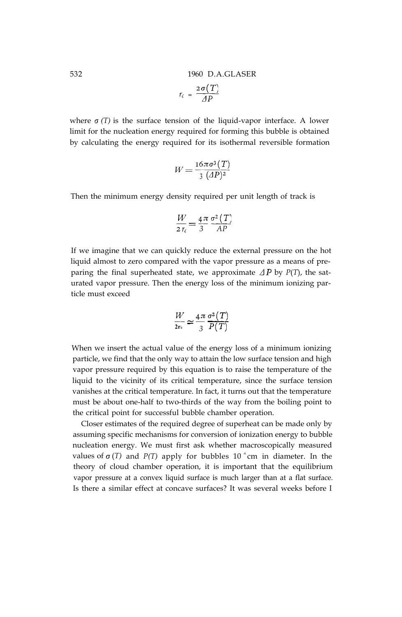532  
\n
$$
1960 \text{ D.A.GLASER}
$$
\n
$$
r_c = \frac{2\sigma(T)}{\Delta P}
$$

where  $\sigma(T)$  is the surface tension of the liquid-vapor interface. A lower limit for the nucleation energy required for forming this bubble is obtained by calculating the energy required for its isothermal reversible formation

$$
W = \frac{16\pi\sigma^3(T)}{3\ (AP)^2}
$$

Then the minimum energy density required per unit length of track is

$$
\frac{W}{2r_c} = \frac{4\pi}{3} \frac{\sigma^2(T)}{AP}
$$

If we imagine that we can quickly reduce the external pressure on the hot liquid almost to zero compared with the vapor pressure as a means of preparing the final superheated state, we approximate  $\Delta P$  by  $P(T)$ , the saturated vapor pressure. Then the energy loss of the minimum ionizing particle must exceed

$$
\frac{W}{2r_{\rm e}} \simeq \frac{4\pi}{3} \frac{\sigma^2(T)}{P(T)}
$$

When we insert the actual value of the energy loss of a minimum ionizing particle, we find that the only way to attain the low surface tension and high vapor pressure required by this equation is to raise the temperature of the liquid to the vicinity of its critical temperature, since the surface tension vanishes at the critical temperature. In fact, it turns out that the temperature must be about one-half to two-thirds of the way from the boiling point to the critical point for successful bubble chamber operation.

Closer estimates of the required degree of superheat can be made only by assuming specific mechanisms for conversion of ionization energy to bubble nucleation energy. We must first ask whether macroscopically measured values of  $\sigma(T)$  and  $P(T)$  apply for bubbles 10<sup> $\degree$ </sup>cm in diameter. In the theory of cloud chamber operation, it is important that the equilibrium vapor pressure at a convex liquid surface is much larger than at a flat surface. Is there a similar effect at concave surfaces? It was several weeks before I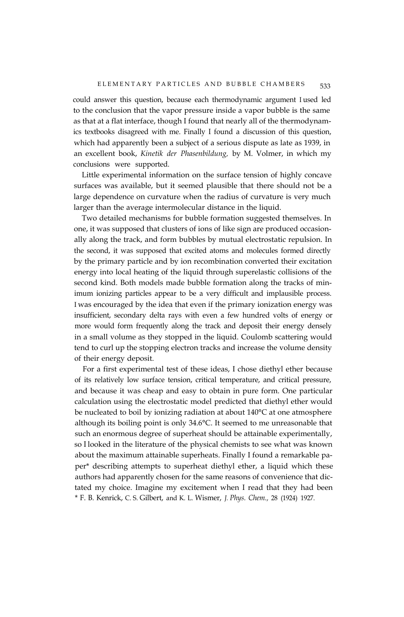could answer this question, because each thermodynamic argument I used led to the conclusion that the vapor pressure inside a vapor bubble is the same as that at a flat interface, though I found that nearly all of the thermodynamics textbooks disagreed with me. Finally I found a discussion of this question, which had apparently been a subject of a serious dispute as late as 1939, in an excellent book, *Kinetik der Phasenbildung,* by M. Volmer, in which my conclusions were supported.

Little experimental information on the surface tension of highly concave surfaces was available, but it seemed plausible that there should not be a large dependence on curvature when the radius of curvature is very much larger than the average intermolecular distance in the liquid.

Two detailed mechanisms for bubble formation suggested themselves. In one, it was supposed that clusters of ions of like sign are produced occasionally along the track, and form bubbles by mutual electrostatic repulsion. In the second, it was supposed that excited atoms and molecules formed directly by the primary particle and by ion recombination converted their excitation energy into local heating of the liquid through superelastic collisions of the second kind. Both models made bubble formation along the tracks of minimum ionizing particles appear to be a very difficult and implausible process. I was encouraged by the idea that even if the primary ionization energy was insufficient, secondary delta rays with even a few hundred volts of energy or more would form frequently along the track and deposit their energy densely in a small volume as they stopped in the liquid. Coulomb scattering would tend to curl up the stopping electron tracks and increase the volume density of their energy deposit.

For a first experimental test of these ideas, I chose diethyl ether because of its relatively low surface tension, critical temperature, and critical pressure, and because it was cheap and easy to obtain in pure form. One particular calculation using the electrostatic model predicted that diethyl ether would be nucleated to boil by ionizing radiation at about 140°C at one atmosphere although its boiling point is only 34.6°C. It seemed to me unreasonable that such an enormous degree of superheat should be attainable experimentally, so I looked in the literature of the physical chemists to see what was known about the maximum attainable superheats. Finally I found a remarkable paper\* describing attempts to superheat diethyl ether, a liquid which these authors had apparently chosen for the same reasons of convenience that dictated my choice. Imagine my excitement when I read that they had been \* F. B. Kenrick, C. S. Gilbert, and K. L. Wismer, *J. Phys. Chem.,* 28 (1924) 1927.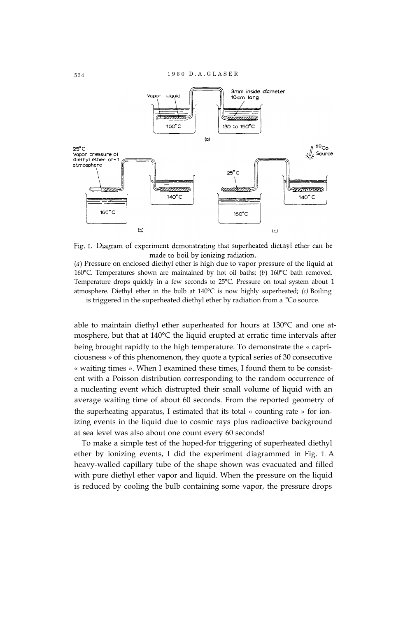

Fig. I. Diagram of experiment demonstrating that superheated diethyl ether can be made to boil by ionizing radiation.

(*a*) Pressure on enclosed diethyl ether is high due to vapor pressure of the liquid at 160°C. Temperatures shown are maintained by hot oil baths; (*b*) 160°C bath removed. Temperature drops quickly in a few seconds to 25°C. Pressure on total system about 1 atmosphere. Diethyl ether in the bulb at 140°C is now highly superheated; *(c)* Boiling

is triggered in the superheated diethyl ether by radiation from a  $^{\circ}$ Co source.

able to maintain diethyl ether superheated for hours at 130°C and one atmosphere, but that at 140°C the liquid erupted at erratic time intervals after being brought rapidly to the high temperature. To demonstrate the « capriciousness » of this phenomenon, they quote a typical series of 30 consecutive « waiting times ». When I examined these times, I found them to be consistent with a Poisson distribution corresponding to the random occurrence of a nucleating event which distrupted their small volume of liquid with an average waiting time of about 60 seconds. From the reported geometry of the superheating apparatus, I estimated that its total « counting rate » for ionizing events in the liquid due to cosmic rays plus radioactive background at sea level was also about one count every 60 seconds!

To make a simple test of the hoped-for triggering of superheated diethyl ether by ionizing events, I did the experiment diagrammed in Fig. 1. A heavy-walled capillary tube of the shape shown was evacuated and filled with pure diethyl ether vapor and liquid. When the pressure on the liquid is reduced by cooling the bulb containing some vapor, the pressure drops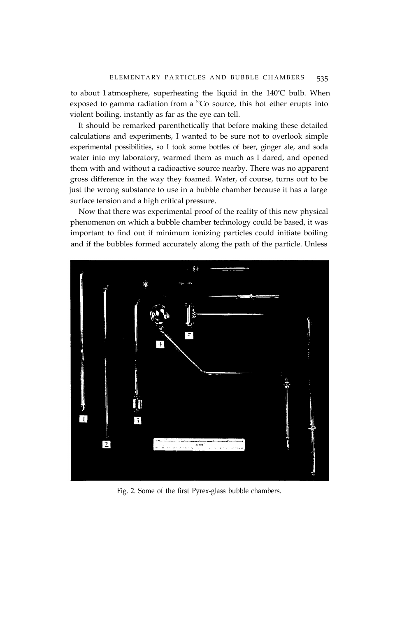to about 1 atmosphere, superheating the liquid in the 140°C bulb. When exposed to gamma radiation from a  $^{\circ}$ Co source, this hot ether erupts into violent boiling, instantly as far as the eye can tell.

It should be remarked parenthetically that before making these detailed calculations and experiments, I wanted to be sure not to overlook simple experimental possibilities, so I took some bottles of beer, ginger ale, and soda water into my laboratory, warmed them as much as I dared, and opened them with and without a radioactive source nearby. There was no apparent gross difference in the way they foamed. Water, of course, turns out to be just the wrong substance to use in a bubble chamber because it has a large surface tension and a high critical pressure.

Now that there was experimental proof of the reality of this new physical phenomenon on which a bubble chamber technology could be based, it was important to find out if minimum ionizing particles could initiate boiling and if the bubbles formed accurately along the path of the particle. Unless



Fig. 2. Some of the first Pyrex-glass bubble chambers.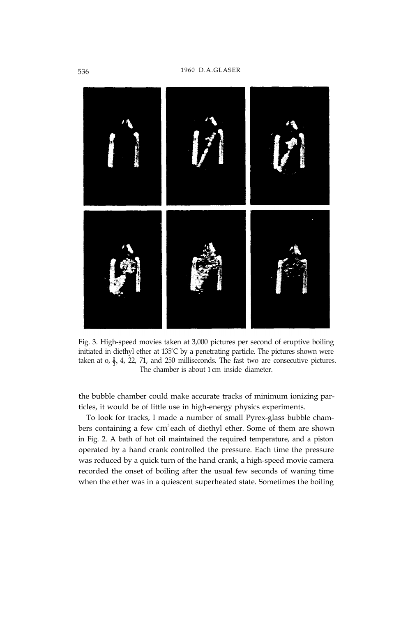

Fig. 3. High-speed movies taken at 3,000 pictures per second of eruptive boiling initiated in diethyl ether at 135°C by a penetrating particle. The pictures shown were taken at  $o$ ,  $\frac{1}{3}$ , 4, 22, 71, and 250 milliseconds. The fast two are consecutive pictures. The chamber is about 1 cm inside diameter.

the bubble chamber could make accurate tracks of minimum ionizing particles, it would be of little use in high-energy physics experiments.

To look for tracks, I made a number of small Pyrex-glass bubble chambers containing a few cm<sup>3</sup> each of diethyl ether. Some of them are shown in Fig. 2. A bath of hot oil maintained the required temperature, and a piston operated by a hand crank controlled the pressure. Each time the pressure was reduced by a quick turn of the hand crank, a high-speed movie camera recorded the onset of boiling after the usual few seconds of waning time when the ether was in a quiescent superheated state. Sometimes the boiling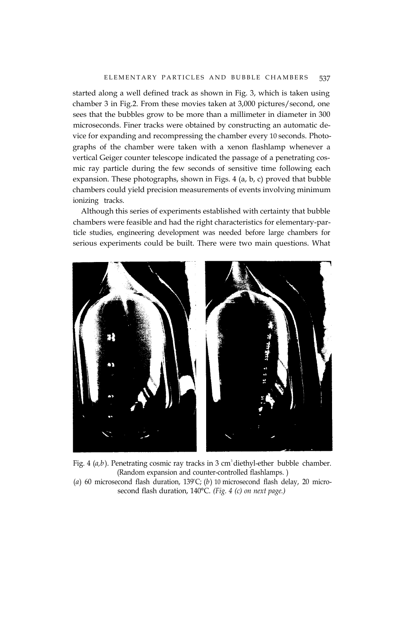started along a well defined track as shown in Fig. 3, which is taken using chamber 3 in Fig.2. From these movies taken at 3,000 pictures/second, one sees that the bubbles grow to be more than a millimeter in diameter in 300 microseconds. Finer tracks were obtained by constructing an automatic device for expanding and recompressing the chamber every 10 seconds. Photographs of the chamber were taken with a xenon flashlamp whenever a vertical Geiger counter telescope indicated the passage of a penetrating cosmic ray particle during the few seconds of sensitive time following each expansion. These photographs, shown in Figs. 4 (a, b, c) proved that bubble chambers could yield precision measurements of events involving minimum ionizing tracks.

Although this series of experiments established with certainty that bubble chambers were feasible and had the right characteristics for elementary-particle studies, engineering development was needed before large chambers for serious experiments could be built. There were two main questions. What



Fig.  $4$   $(a,b)$ . Penetrating cosmic ray tracks in 3 cm<sup>3</sup> diethyl-ether bubble chamber. (Random expansion and counter-controlled flashlamps. )

(a) 60 microsecond flash duration,  $139^{\circ}$ C; (b) 10 microsecond flash delay, 20 microsecond flash duration, 140°C. *(Fig. 4 (c) on next page.)*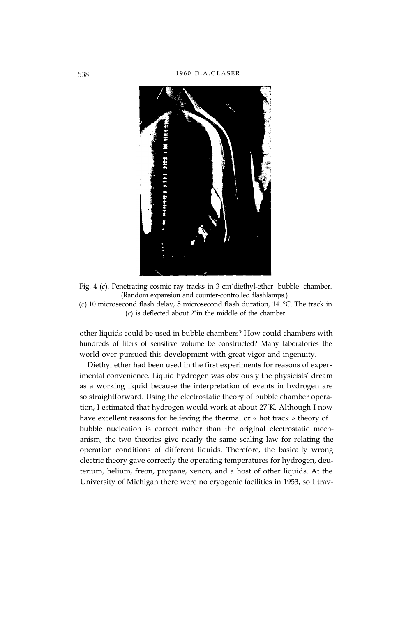



(*c*) 10 microsecond flash delay, 5 microsecond flash duration, 141°C. The track in  $(c)$  is deflected about  $2^{\circ}$  in the middle of the chamber.

other liquids could be used in bubble chambers? How could chambers with hundreds of liters of sensitive volume be constructed? Many laboratories the world over pursued this development with great vigor and ingenuity.

Diethyl ether had been used in the first experiments for reasons of experimental convenience. Liquid hydrogen was obviously the physicists' dream as a working liquid because the interpretation of events in hydrogen are so straightforward. Using the electrostatic theory of bubble chamber operation, I estimated that hydrogen would work at about 27°K. Although I now have excellent reasons for believing the thermal or « hot track » theory of bubble nucleation is correct rather than the original electrostatic mechanism, the two theories give nearly the same scaling law for relating the operation conditions of different liquids. Therefore, the basically wrong electric theory gave correctly the operating temperatures for hydrogen, deuterium, helium, freon, propane, xenon, and a host of other liquids. At the University of Michigan there were no cryogenic facilities in 1953, so I trav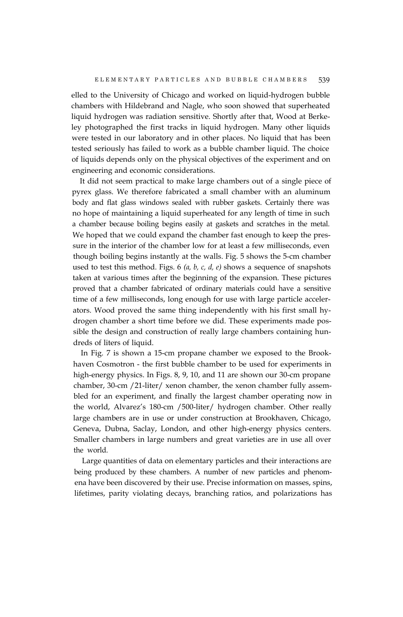elled to the University of Chicago and worked on liquid-hydrogen bubble chambers with Hildebrand and Nagle, who soon showed that superheated liquid hydrogen was radiation sensitive. Shortly after that, Wood at Berkeley photographed the first tracks in liquid hydrogen. Many other liquids were tested in our laboratory and in other places. No liquid that has been tested seriously has failed to work as a bubble chamber liquid. The choice of liquids depends only on the physical objectives of the experiment and on engineering and economic considerations.

It did not seem practical to make large chambers out of a single piece of pyrex glass. We therefore fabricated a small chamber with an aluminum body and flat glass windows sealed with rubber gaskets. Certainly there was no hope of maintaining a liquid superheated for any length of time in such a chamber because boiling begins easily at gaskets and scratches in the metal. We hoped that we could expand the chamber fast enough to keep the pressure in the interior of the chamber low for at least a few milliseconds, even though boiling begins instantly at the walls. Fig. 5 shows the 5-cm chamber used to test this method. Figs. 6 *(a, b, c, d, e)* shows a sequence of snapshots taken at various times after the beginning of the expansion. These pictures proved that a chamber fabricated of ordinary materials could have a sensitive time of a few milliseconds, long enough for use with large particle accelerators. Wood proved the same thing independently with his first small hydrogen chamber a short time before we did. These experiments made possible the design and construction of really large chambers containing hundreds of liters of liquid.

In Fig. 7 is shown a 15-cm propane chamber we exposed to the Brookhaven Cosmotron - the first bubble chamber to be used for experiments in high-energy physics. In Figs. 8, 9, 10, and 11 are shown our 30-cm propane chamber, 30-cm /21-liter/ xenon chamber, the xenon chamber fully assembled for an experiment, and finally the largest chamber operating now in the world, Alvarez's 180-cm /500-liter/ hydrogen chamber. Other really large chambers are in use or under construction at Brookhaven, Chicago, Geneva, Dubna, Saclay, London, and other high-energy physics centers. Smaller chambers in large numbers and great varieties are in use all over the world.

Large quantities of data on elementary particles and their interactions are being produced by these chambers. A number of new particles and phenomena have been discovered by their use. Precise information on masses, spins, lifetimes, parity violating decays, branching ratios, and polarizations has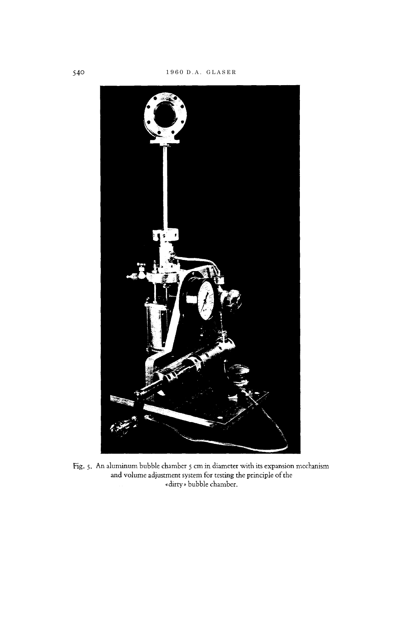

Fig. 5. An aluminum bubble chamber  $5 \text{ cm}$  in diameter with its expansion mechanism and volume adjustment system for testing the principle of the «dirty» bubble chamber.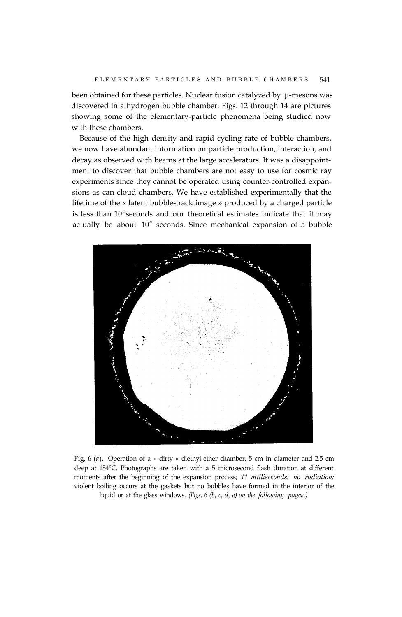been obtained for these particles. Nuclear fusion catalyzed by -mesons was discovered in a hydrogen bubble chamber. Figs. 12 through 14 are pictures showing some of the elementary-particle phenomena being studied now with these chambers.

Because of the high density and rapid cycling rate of bubble chambers, we now have abundant information on particle production, interaction, and decay as observed with beams at the large accelerators. It was a disappointment to discover that bubble chambers are not easy to use for cosmic ray experiments since they cannot be operated using counter-controlled expansions as can cloud chambers. We have established experimentally that the lifetime of the « latent bubble-track image » produced by a charged particle is less than  $10<sup>4</sup>$  seconds and our theoretical estimates indicate that it may actually be about  $10<sup>s</sup>$  seconds. Since mechanical expansion of a bubble



Fig. 6 (*a*). Operation of a « dirty » diethyl-ether chamber, 5 cm in diameter and 2.5 cm deep at 154°C. Photographs are taken with a 5 microsecond flash duration at different moments after the beginning of the expansion process; *11 milliseconds, no radiation:* violent boiling occurs at the gaskets but no bubbles have formed in the interior of the liquid or at the glass windows. *(Figs. 6 (b, c, d, e) on the following pages.)*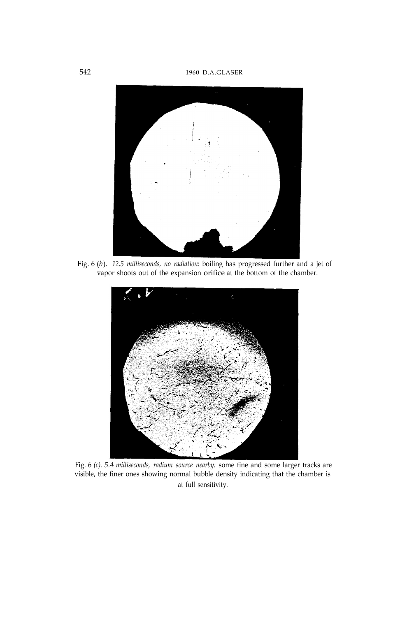

Fig. 6 (*b*). *12.5 milliseconds, no radiation*: boiling has progressed further and a jet of vapor shoots out of the expansion orifice at the bottom of the chamber.



Fig. 6 *(c). 5.4 milliseconds, radium source nearby:* some fine and some larger tracks are visible, the finer ones showing normal bubble density indicating that the chamber is at full sensitivity.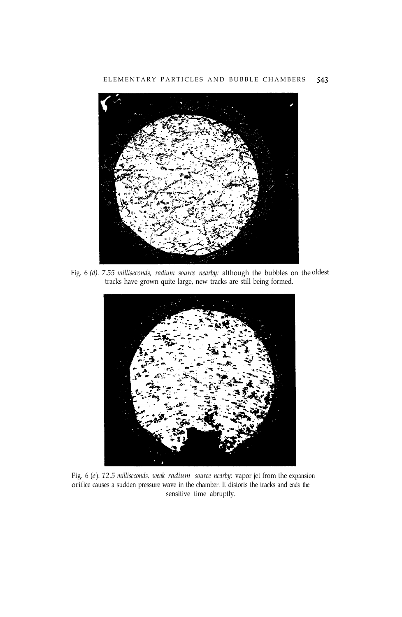

Fig. 6 *(d). 7.55 milliseconds, radium source nearby:* although the bubbles on the oldest tracks have grown quite large, new tracks are still being formed.



Fig. 6 (*e*). *12.5 milliseconds, weak radium source nearby:* vapor jet from the expansion orif ice causes a sudden pressure wave in the chamber. It distorts the tracks and ends the sensitive time abruptly.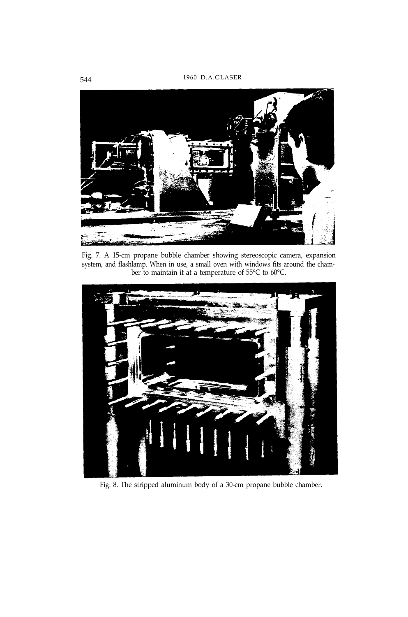

Fig. 7. A 15-cm propane bubble chamber showing stereoscopic camera, expansion system, and flashlamp. When in use, a small oven with windows fits around the chamber to maintain it at a temperature of 55°C to 60°C.



Fig. 8. The stripped aluminum body of a 30-cm propane bubble chamber.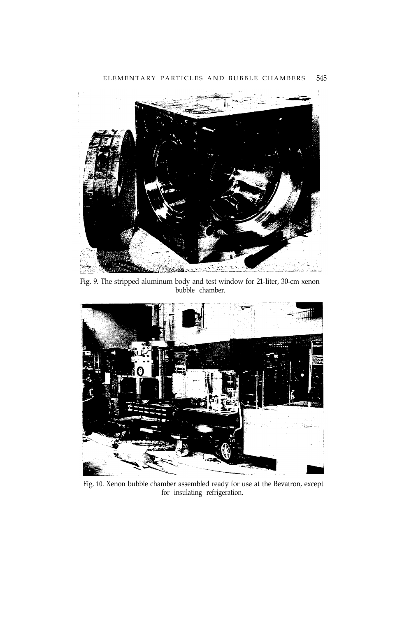

Fig. 9. The stripped aluminum body and test window for 21-liter, 30-cm xenon bubble chamber.



Fig. 10. Xenon bubble chamber assembled ready for use at the Bevatron, except for insulating refrigeration.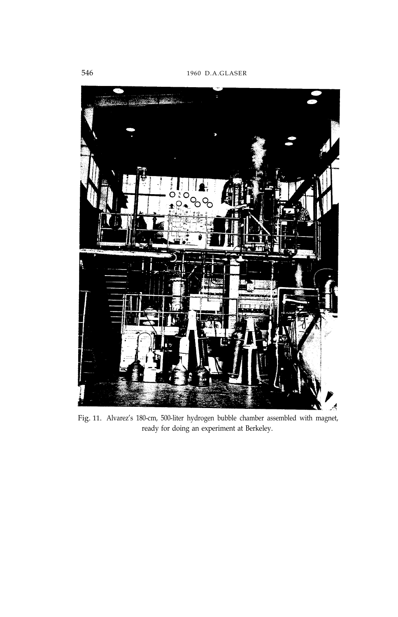

Fig. 11. Alvarez's 180-cm, 500-liter hydrogen bubble chamber assembled with magnet, ready for doing an experiment at Berkeley.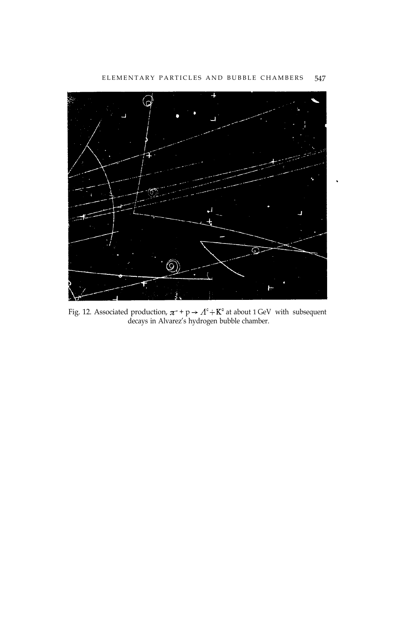

Fig. 12. Associated production,  $\pi^- + p \rightarrow A^{\circ} + K^{\circ}$  at about 1 GeV with subsequent decays in Alvarez's hydrogen bubble chamber.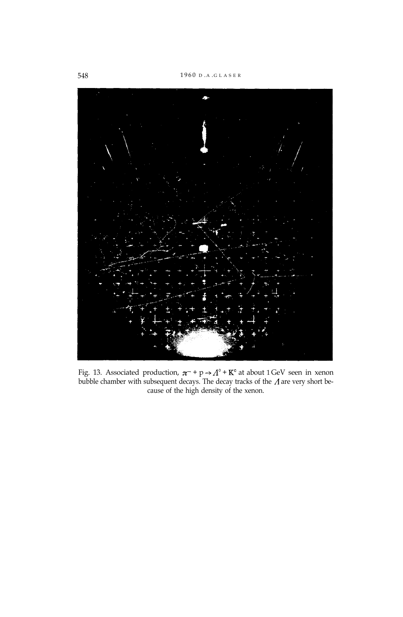

Fig. 13. Associated production,  $\pi$  + p  $\rightarrow A^{\circ}$  + K° at about 1 GeV seen in xenon bubble chamber with subsequent decays. The decay tracks of the  $\Lambda$  are very short because of the high density of the xenon.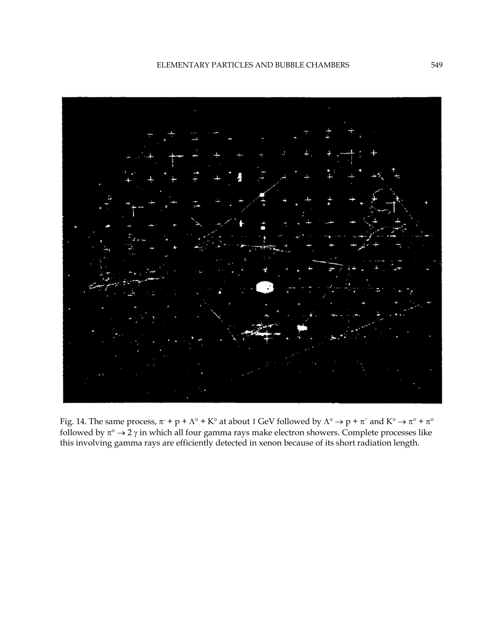

Fig. 14. The same process,  $\pi + p + \Lambda^{\circ} + K^{\circ}$  at about 1 GeV followed by  $\Lambda^{\circ} \to p + \pi^-$  and  $K^{\circ} \to \pi^{\circ} + \pi^{\circ}$ followed by  $\pi^{\circ} \to 2 \gamma$  in which all four gamma rays make electron showers. Complete processes like this involving gamma rays are efficiently detected in xenon because of its short radiation length.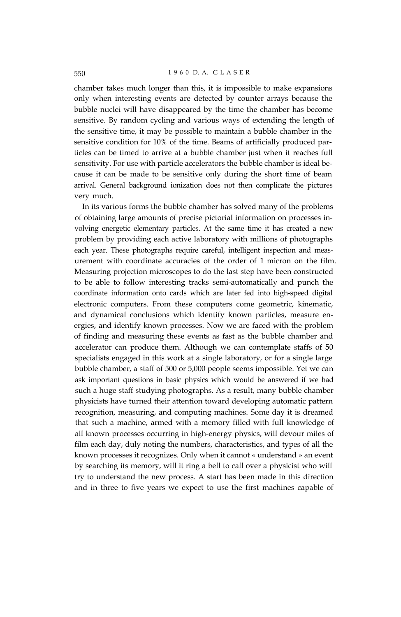chamber takes much longer than this, it is impossible to make expansions only when interesting events are detected by counter arrays because the bubble nuclei will have disappeared by the time the chamber has become sensitive. By random cycling and various ways of extending the length of the sensitive time, it may be possible to maintain a bubble chamber in the sensitive condition for 10% of the time. Beams of artificially produced particles can be timed to arrive at a bubble chamber just when it reaches full sensitivity. For use with particle accelerators the bubble chamber is ideal because it can be made to be sensitive only during the short time of beam arrival. General background ionization does not then complicate the pictures very much.

In its various forms the bubble chamber has solved many of the problems of obtaining large amounts of precise pictorial information on processes involving energetic elementary particles. At the same time it has created a new problem by providing each active laboratory with millions of photographs each year. These photographs require careful, intelligent inspection and measurement with coordinate accuracies of the order of 1 micron on the film. Measuring projection microscopes to do the last step have been constructed to be able to follow interesting tracks semi-automatically and punch the coordinate information onto cards which are later fed into high-speed digital electronic computers. From these computers come geometric, kinematic, and dynamical conclusions which identify known particles, measure energies, and identify known processes. Now we are faced with the problem of finding and measuring these events as fast as the bubble chamber and accelerator can produce them. Although we can contemplate staffs of 50 specialists engaged in this work at a single laboratory, or for a single large bubble chamber, a staff of 500 or 5,000 people seems impossible. Yet we can ask important questions in basic physics which would be answered if we had such a huge staff studying photographs. As a result, many bubble chamber physicists have turned their attention toward developing automatic pattern recognition, measuring, and computing machines. Some day it is dreamed that such a machine, armed with a memory filled with full knowledge of all known processes occurring in high-energy physics, will devour miles of film each day, duly noting the numbers, characteristics, and types of all the known processes it recognizes. Only when it cannot « understand » an event by searching its memory, will it ring a bell to call over a physicist who will try to understand the new process. A start has been made in this direction and in three to five years we expect to use the first machines capable of